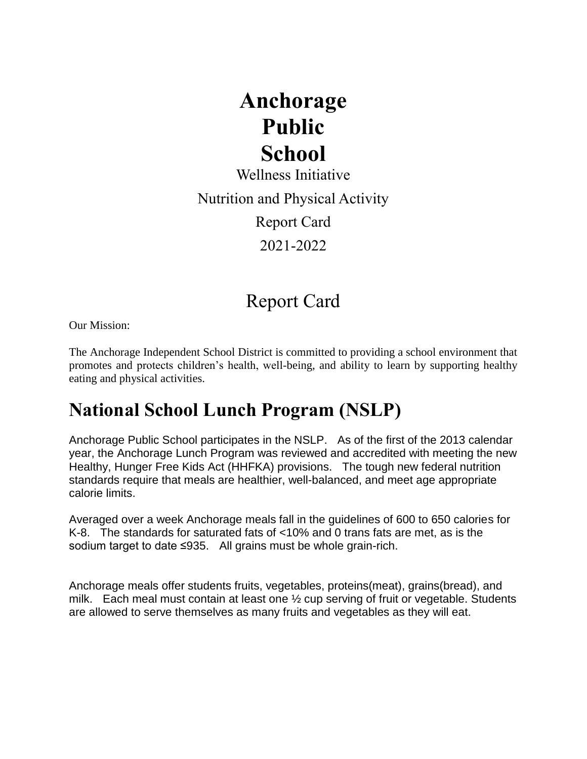# **Anchorage Public School**

Wellness Initiative Nutrition and Physical Activity Report Card 2021-2022

## Report Card

Our Mission:

The Anchorage Independent School District is committed to providing a school environment that promotes and protects children's health, well-being, and ability to learn by supporting healthy eating and physical activities.

# **National School Lunch Program (NSLP)**

Anchorage Public School participates in the NSLP. As of the first of the 2013 calendar year, the Anchorage Lunch Program was reviewed and accredited with meeting the new Healthy, Hunger Free Kids Act (HHFKA) provisions. The tough new federal nutrition standards require that meals are healthier, well-balanced, and meet age appropriate calorie limits.

Averaged over a week Anchorage meals fall in the guidelines of 600 to 650 calories for K-8. The standards for saturated fats of <10% and 0 trans fats are met, as is the sodium target to date ≤935. All grains must be whole grain-rich.

Anchorage meals offer students fruits, vegetables, proteins(meat), grains(bread), and milk. Each meal must contain at least one  $\frac{1}{2}$  cup serving of fruit or vegetable. Students are allowed to serve themselves as many fruits and vegetables as they will eat.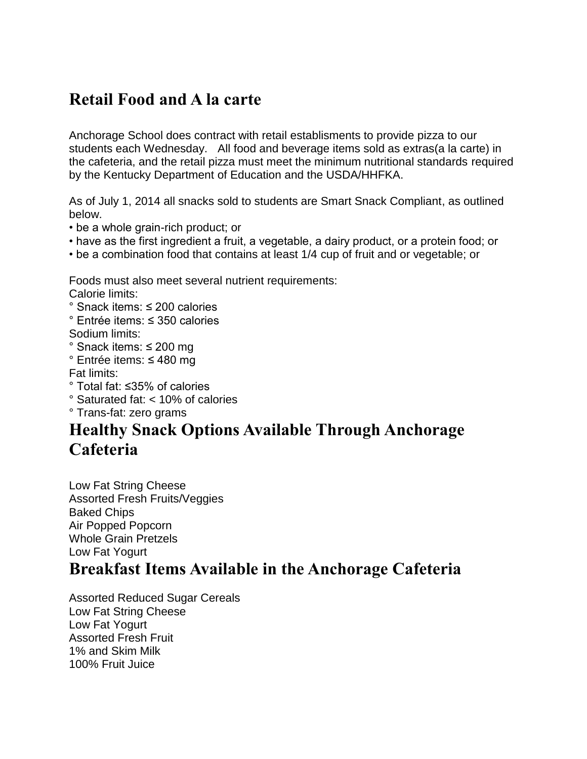#### **Retail Food and A la carte**

Anchorage School does contract with retail establisments to provide pizza to our students each Wednesday. All food and beverage items sold as extras(a la carte) in the cafeteria, and the retail pizza must meet the minimum nutritional standards required by the Kentucky Department of Education and the USDA/HHFKA.

As of July 1, 2014 all snacks sold to students are Smart Snack Compliant, as outlined below.

- be a whole grain-rich product; or
- have as the first ingredient a fruit, a vegetable, a dairy product, or a protein food; or
- be a combination food that contains at least 1/4 cup of fruit and or vegetable; or

Foods must also meet several nutrient requirements: Calorie limits:

- ° Snack items: ≤ 200 calories
- ° Entrée items: ≤ 350 calories
- Sodium limits:
- ° Snack items: ≤ 200 mg
- ° Entrée items: ≤ 480 mg

Fat limits:

- ° Total fat: ≤35% of calories
- ° Saturated fat: < 10% of calories
- ° Trans-fat: zero grams

### **Healthy Snack Options Available Through Anchorage Cafeteria**

Low Fat String Cheese Assorted Fresh Fruits/Veggies Baked Chips Air Popped Popcorn Whole Grain Pretzels Low Fat Yogurt

#### **Breakfast Items Available in the Anchorage Cafeteria**

Assorted Reduced Sugar Cereals Low Fat String Cheese Low Fat Yogurt Assorted Fresh Fruit 1% and Skim Milk 100% Fruit Juice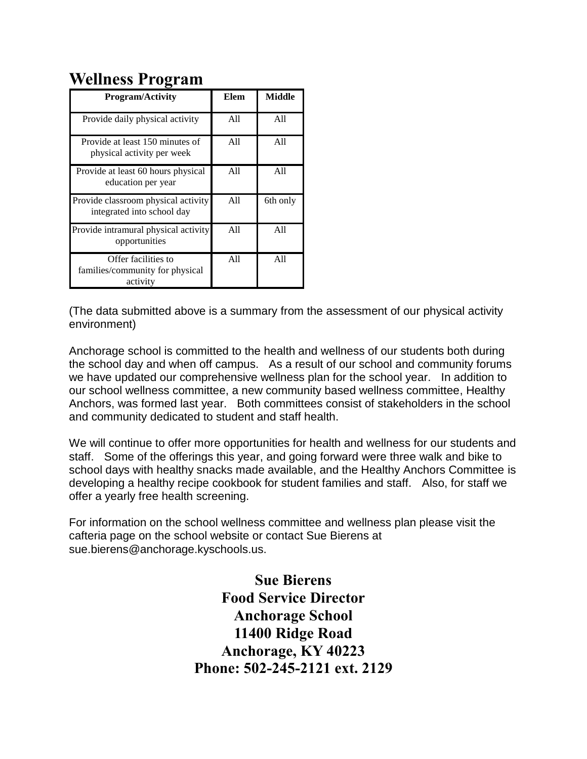#### **Wellness Program**

| <b>Program/Activity</b>                                            | Elem | Middle   |
|--------------------------------------------------------------------|------|----------|
| Provide daily physical activity                                    | A11  | A11      |
| Provide at least 150 minutes of<br>physical activity per week      | All  | All      |
| Provide at least 60 hours physical<br>education per year           | A11  | All      |
| Provide classroom physical activity<br>integrated into school day  | A11  | 6th only |
| Provide intramural physical activity<br>opportunities              | A11  | A11      |
| Offer facilities to<br>families/community for physical<br>activity | A11  | A11      |

(The data submitted above is a summary from the assessment of our physical activity environment)

Anchorage school is committed to the health and wellness of our students both during the school day and when off campus. As a result of our school and community forums we have updated our comprehensive wellness plan for the school year. In addition to our school wellness committee, a new community based wellness committee, Healthy Anchors, was formed last year. Both committees consist of stakeholders in the school and community dedicated to student and staff health.

We will continue to offer more opportunities for health and wellness for our students and staff. Some of the offerings this year, and going forward were three walk and bike to school days with healthy snacks made available, and the Healthy Anchors Committee is developing a healthy recipe cookbook for student families and staff. Also, for staff we offer a yearly free health screening.

For information on the school wellness committee and wellness plan please visit the cafteria page on the school website or contact Sue Bierens at sue.bierens@anchorage.kyschools.us.

> **Sue Bierens Food Service Director Anchorage School 11400 Ridge Road Anchorage, KY 40223 Phone: 502-245-2121 ext. 2129**